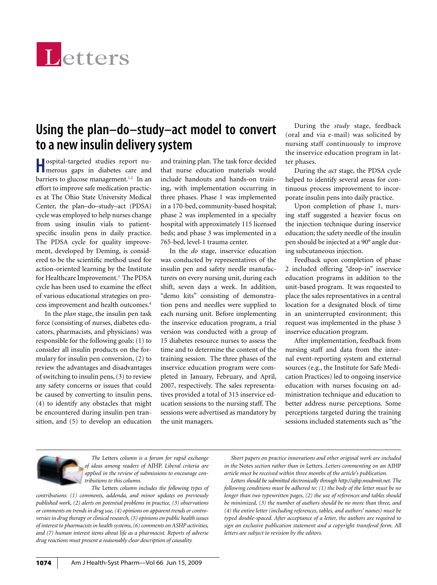

## **Using the plan–do–study–act model to convert to a new insulin delivery system**

**H**ospital-targeted studies report nu-merous gaps in diabetes care and barriers to glucose management.<sup>1,2</sup> In an effort to improve safe medication practices at The Ohio State University Medical Center, the plan–do–study–act (PDSA) cycle was employed to help nurses change from using insulin vials to patientspecific insulin pens in daily practice. The PDSA cycle for quality improvement, developed by Deming, is considered to be the scientific method used for action-oriented learning by the Institute for Healthcare Improvement.<sup>3</sup> The PDSA cycle has been used to examine the effect of various educational strategies on process improvement and health outcomes.4

In the *plan* stage, the insulin pen task force (consisting of nurses, diabetes educators, pharmacists, and physicians) was responsible for the following goals: (1) to consider all insulin products on the formulary for insulin pen conversion, (2) to review the advantages and disadvantages of switching to insulin pens, (3) to review any safety concerns or issues that could be caused by converting to insulin pens, (4) to identify any obstacles that might be encountered during insulin pen transition, and (5) to develop an education

and training plan. The task force decided that nurse education materials would include handouts and hands-on training, with implementation occurring in three phases. Phase 1 was implemented in a 170-bed, community-based hospital; phase 2 was implemented in a specialty hospital with approximately 115 licensed beds; and phase 3 was implemented in a 765-bed, level-1 trauma center.

In the *do* stage*,* inservice education was conducted by representatives of the insulin pen and safety needle manufacturers on every nursing unit, during each shift, seven days a week. In addition, "demo kits" consisting of demonstration pens and needles were supplied to each nursing unit. Before implementing the inservice education program, a trial version was conducted with a group of 15 diabetes resource nurses to assess the time and to determine the content of the training session. The three phases of the inservice education program were completed in January, February, and April, 2007, respectively. The sales representatives provided a total of 315 inservice education sessions to the nursing staff. The sessions were advertised as mandatory by the unit managers.

During the *study* stage, feedback (oral and via e-mail) was solicited by nursing staff continuously to improve the inservice education program in latter phases.

During the *act* stage, the PDSA cycle helped to identify several areas for continuous process improvement to incorporate insulin pens into daily practice.

Upon completion of phase 1, nursing staff suggested a heavier focus on the injection technique during inservice education; the safety needle of the insulin pen should be injected at a 90° angle during subcutaneous injection.

Feedback upon completion of phase 2 included offering "drop-in" inservice education programs in addition to the unit-based program. It was requested to place the sales representatives in a central location for a designated block of time in an uninterrupted environment; this request was implemented in the phase 3 inservice education program.

After implementation, feedback from nursing staff and data from the internal event-reporting system and external sources (e.g., the Institute for Safe Medication Practices) led to ongoing inservice education with nurses focusing on administration technique and education to better address nurse perceptions. Some perceptions targeted during the training sessions included statements such as "the



*The* Letters *column is a forum for rapid exchange of ideas among readers of* AJHP. *Liberal criteria are applied in the review of submissions to encourage contributions to this column.*

*The* Letters *column includes the following types of contributions: (1) comments, addenda, and minor updates on previously published work, (2) alerts on potential problems in practice, (3) observations or comments on trends in drug use, (4) opinions on apparent trends or controversies in drug therapy or clinical research, (5) opinions on public health issues of interest to pharmacists in health systems, (6) comments on ASHP activities, and (7) human interest items about life as a pharmacist. Reports of adverse drug reactions must present a reasonably clear description of causality.*

*Short papers on practice innovations and other original work are included in the* Notes *section rather than in* Letters. *Letters commenting on an* AJHP *article must be received within three months of the article's publication.*

*Letters should be submitted electronically through http://ajhp.msubmit.net. The following conditions must be adhered to: (1) the body of the letter must be no longer than two typewritten pages, (2) the use of references and tables should be minimized, (3) the number of authors should be no more than three, and (4) the entire letter (including references, tables, and authors' names) must be typed double-spaced. After acceptance of a letter, the authors are required to sign an exclusive publication statement and a copyright transferal form. All letters are subject to revision by the editors.*